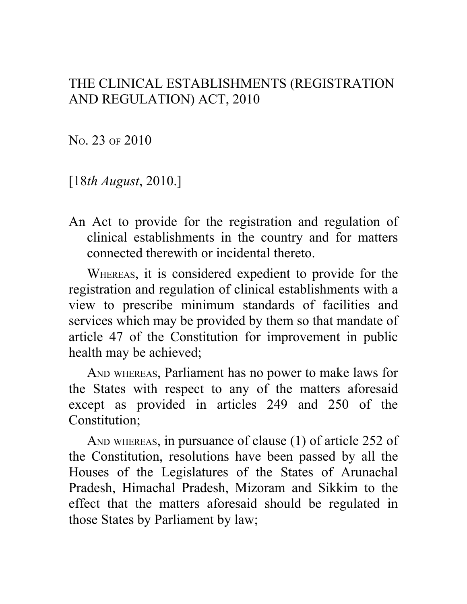### THE CLINICAL ESTABLISHMENTS (REGISTRATION AND REGULATION) ACT, 2010

NO. 23 OF 2010

[18*th August*, 2010.]

An Act to provide for the registration and regulation of clinical establishments in the country and for matters connected therewith or incidental thereto.

WHEREAS, it is considered expedient to provide for the registration and regulation of clinical establishments with a view to prescribe minimum standards of facilities and services which may be provided by them so that mandate of article 47 of the Constitution for improvement in public health may be achieved;

AND WHEREAS, Parliament has no power to make laws for the States with respect to any of the matters aforesaid except as provided in articles 249 and 250 of the Constitution;

AND WHEREAS, in pursuance of clause (1) of article 252 of the Constitution, resolutions have been passed by all the Houses of the Legislatures of the States of Arunachal Pradesh, Himachal Pradesh, Mizoram and Sikkim to the effect that the matters aforesaid should be regulated in those States by Parliament by law;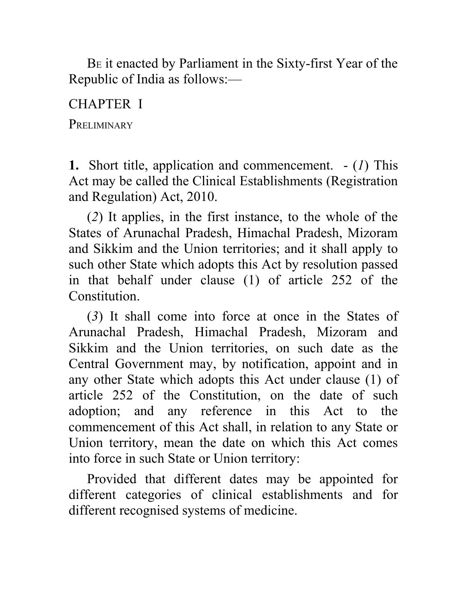BE it enacted by Parliament in the Sixty-first Year of the Republic of India as follows:—

CHAPTER I

**PRELIMINARY** 

**1.** Short title, application and commencement. - (*1*) This Act may be called the Clinical Establishments (Registration and Regulation) Act, 2010.

(*2*) It applies, in the first instance, to the whole of the States of Arunachal Pradesh, Himachal Pradesh, Mizoram and Sikkim and the Union territories; and it shall apply to such other State which adopts this Act by resolution passed in that behalf under clause (1) of article 252 of the **Constitution** 

(*3*) It shall come into force at once in the States of Arunachal Pradesh, Himachal Pradesh, Mizoram and Sikkim and the Union territories, on such date as the Central Government may, by notification, appoint and in any other State which adopts this Act under clause (1) of article 252 of the Constitution, on the date of such adoption; and any reference in this Act to the commencement of this Act shall, in relation to any State or Union territory, mean the date on which this Act comes into force in such State or Union territory:

Provided that different dates may be appointed for different categories of clinical establishments and for different recognised systems of medicine.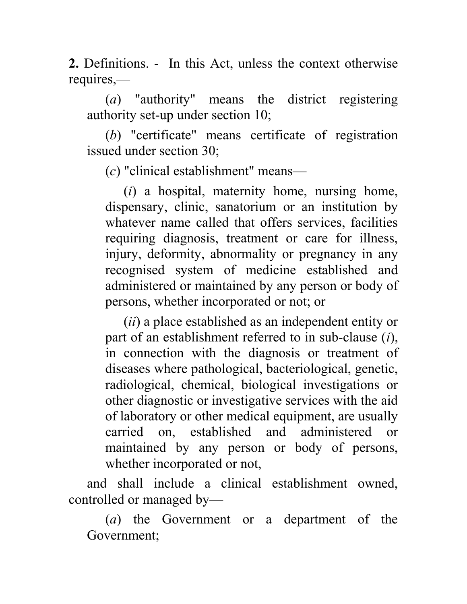**2.** Definitions. - In this Act, unless the context otherwise requires,—

(*a*) "authority" means the district registering authority set-up under section 10;

(*b*) "certificate" means certificate of registration issued under section 30;

(*c*) "clinical establishment" means—

(*i*) a hospital, maternity home, nursing home, dispensary, clinic, sanatorium or an institution by whatever name called that offers services, facilities requiring diagnosis, treatment or care for illness, injury, deformity, abnormality or pregnancy in any recognised system of medicine established and administered or maintained by any person or body of persons, whether incorporated or not; or

(*ii*) a place established as an independent entity or part of an establishment referred to in sub-clause (*i*), in connection with the diagnosis or treatment of diseases where pathological, bacteriological, genetic, radiological, chemical, biological investigations or other diagnostic or investigative services with the aid of laboratory or other medical equipment, are usually carried on, established and administered or maintained by any person or body of persons, whether incorporated or not,

and shall include a clinical establishment owned, controlled or managed by—

(*a*) the Government or a department of the Government;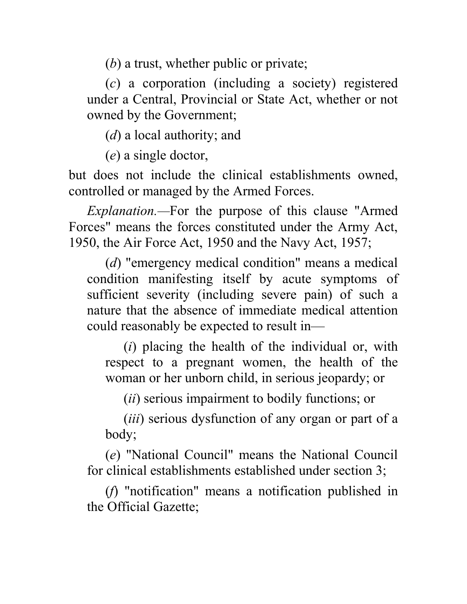(*b*) a trust, whether public or private;

(*c*) a corporation (including a society) registered under a Central, Provincial or State Act, whether or not owned by the Government;

(*d*) a local authority; and

(*e*) a single doctor,

but does not include the clinical establishments owned, controlled or managed by the Armed Forces.

*Explanation.—*For the purpose of this clause "Armed Forces" means the forces constituted under the Army Act, 1950, the Air Force Act, 1950 and the Navy Act, 1957;

(*d*) "emergency medical condition" means a medical condition manifesting itself by acute symptoms of sufficient severity (including severe pain) of such a nature that the absence of immediate medical attention could reasonably be expected to result in—

(*i*) placing the health of the individual or, with respect to a pregnant women, the health of the woman or her unborn child, in serious jeopardy; or

(*ii*) serious impairment to bodily functions; or

(*iii*) serious dysfunction of any organ or part of a body;

(*e*) "National Council" means the National Council for clinical establishments established under section 3;

(*f*) "notification" means a notification published in the Official Gazette;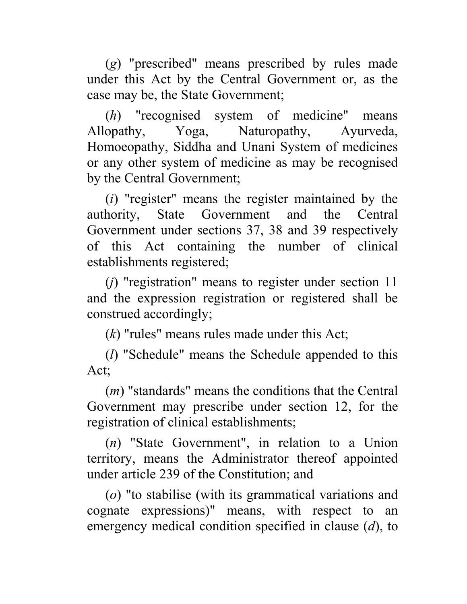(*g*) "prescribed" means prescribed by rules made under this Act by the Central Government or, as the case may be, the State Government;

(*h*) "recognised system of medicine" means Allopathy, Yoga, Naturopathy, Ayurveda, Homoeopathy, Siddha and Unani System of medicines or any other system of medicine as may be recognised by the Central Government;

(*i*) "register" means the register maintained by the authority, State Government and the Central Government under sections 37, 38 and 39 respectively of this Act containing the number of clinical establishments registered;

(*j*) "registration" means to register under section 11 and the expression registration or registered shall be construed accordingly;

(*k*) "rules" means rules made under this Act;

(*l*) "Schedule" means the Schedule appended to this Act;

(*m*) "standards" means the conditions that the Central Government may prescribe under section 12, for the registration of clinical establishments;

(*n*) "State Government", in relation to a Union territory, means the Administrator thereof appointed under article 239 of the Constitution; and

(*o*) "to stabilise (with its grammatical variations and cognate expressions)" means, with respect to an emergency medical condition specified in clause (*d*), to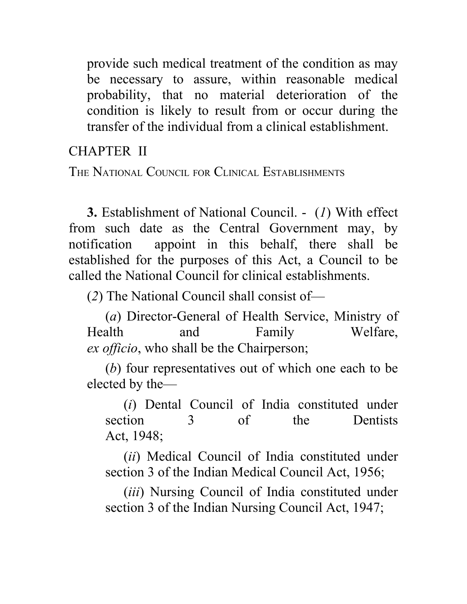provide such medical treatment of the condition as may be necessary to assure, within reasonable medical probability, that no material deterioration of the condition is likely to result from or occur during the transfer of the individual from a clinical establishment.

CHAPTER II

THE NATIONAL COUNCIL FOR CLINICAL ESTABLISHMENTS

**3.** Establishment of National Council. - (*1*) With effect from such date as the Central Government may, by notification appoint in this behalf, there shall be established for the purposes of this Act, a Council to be called the National Council for clinical establishments.

(*2*) The National Council shall consist of—

(*a*) Director-General of Health Service, Ministry of Health and Family Welfare, *ex officio*, who shall be the Chairperson;

(*b*) four representatives out of which one each to be elected by the—

(*i*) Dental Council of India constituted under section 3 of the Dentists Act, 1948;

(*ii*) Medical Council of India constituted under section 3 of the Indian Medical Council Act, 1956;

(*iii*) Nursing Council of India constituted under section 3 of the Indian Nursing Council Act, 1947;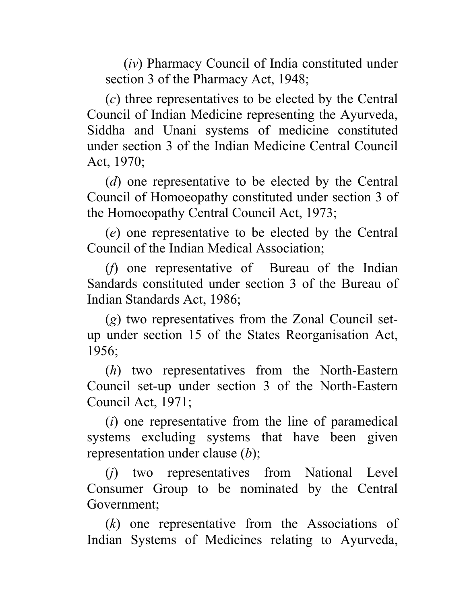(*iv*) Pharmacy Council of India constituted under section 3 of the Pharmacy Act, 1948;

(*c*) three representatives to be elected by the Central Council of Indian Medicine representing the Ayurveda, Siddha and Unani systems of medicine constituted under section 3 of the Indian Medicine Central Council Act, 1970;

(*d*) one representative to be elected by the Central Council of Homoeopathy constituted under section 3 of the Homoeopathy Central Council Act, 1973;

(*e*) one representative to be elected by the Central Council of the Indian Medical Association;

(*f*) one representative of Bureau of the Indian Sandards constituted under section 3 of the Bureau of Indian Standards Act, 1986;

(*g*) two representatives from the Zonal Council setup under section 15 of the States Reorganisation Act, 1956;

(*h*) two representatives from the North-Eastern Council set-up under section 3 of the North-Eastern Council Act, 1971;

(*i*) one representative from the line of paramedical systems excluding systems that have been given representation under clause (*b*);

(*j*) two representatives from National Level Consumer Group to be nominated by the Central Government;

(*k*) one representative from the Associations of Indian Systems of Medicines relating to Ayurveda,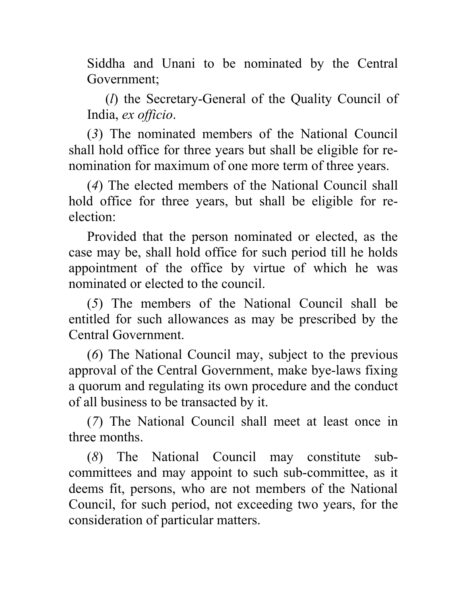Siddha and Unani to be nominated by the Central Government;

(*l*) the Secretary-General of the Quality Council of India, *ex officio*.

(*3*) The nominated members of the National Council shall hold office for three years but shall be eligible for renomination for maximum of one more term of three years.

(*4*) The elected members of the National Council shall hold office for three years, but shall be eligible for reelection:

Provided that the person nominated or elected, as the case may be, shall hold office for such period till he holds appointment of the office by virtue of which he was nominated or elected to the council.

(*5*) The members of the National Council shall be entitled for such allowances as may be prescribed by the Central Government.

(*6*) The National Council may, subject to the previous approval of the Central Government, make bye-laws fixing a quorum and regulating its own procedure and the conduct of all business to be transacted by it.

(*7*) The National Council shall meet at least once in three months.

(*8*) The National Council may constitute subcommittees and may appoint to such sub-committee, as it deems fit, persons, who are not members of the National Council, for such period, not exceeding two years, for the consideration of particular matters.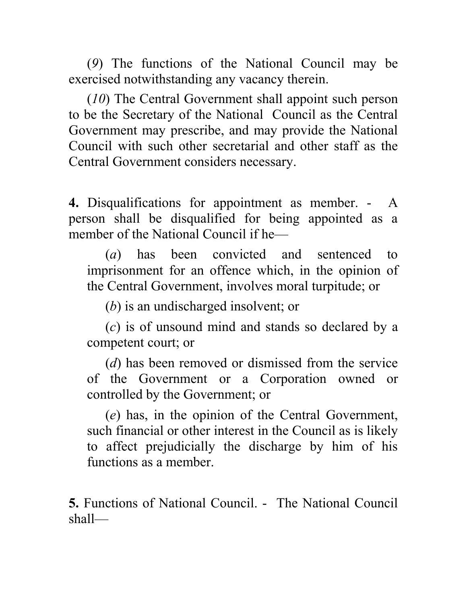(*9*) The functions of the National Council may be exercised notwithstanding any vacancy therein.

(*10*) The Central Government shall appoint such person to be the Secretary of the National Council as the Central Government may prescribe, and may provide the National Council with such other secretarial and other staff as the Central Government considers necessary.

**4.** Disqualifications for appointment as member. - A person shall be disqualified for being appointed as a member of the National Council if he—

(*a*) has been convicted and sentenced to imprisonment for an offence which, in the opinion of the Central Government, involves moral turpitude; or

(*b*) is an undischarged insolvent; or

(*c*) is of unsound mind and stands so declared by a competent court; or

(*d*) has been removed or dismissed from the service of the Government or a Corporation owned or controlled by the Government; or

(*e*) has, in the opinion of the Central Government, such financial or other interest in the Council as is likely to affect prejudicially the discharge by him of his functions as a member.

**5.** Functions of National Council. - The National Council shall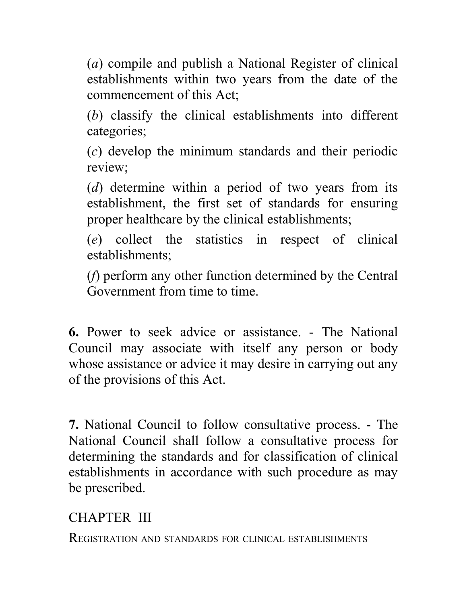(*a*) compile and publish a National Register of clinical establishments within two years from the date of the commencement of this Act;

(*b*) classify the clinical establishments into different categories;

(*c*) develop the minimum standards and their periodic review;

(*d*) determine within a period of two years from its establishment, the first set of standards for ensuring proper healthcare by the clinical establishments;

(*e*) collect the statistics in respect of clinical establishments;

(*f*) perform any other function determined by the Central Government from time to time.

**6.** Power to seek advice or assistance. - The National Council may associate with itself any person or body whose assistance or advice it may desire in carrying out any of the provisions of this Act.

**7.** National Council to follow consultative process. - The National Council shall follow a consultative process for determining the standards and for classification of clinical establishments in accordance with such procedure as may be prescribed.

CHAPTER III

REGISTRATION AND STANDARDS FOR CLINICAL ESTABLISHMENTS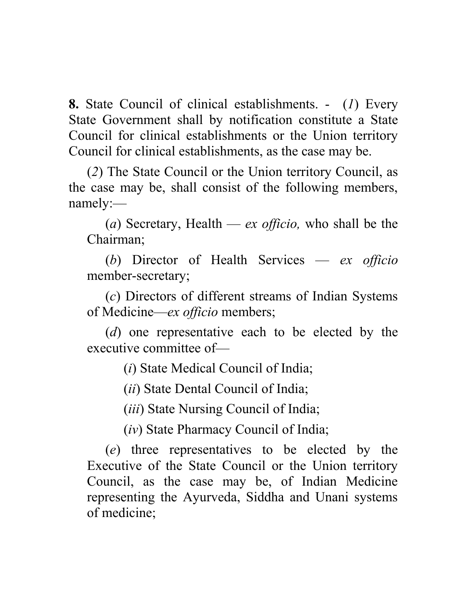**8.** State Council of clinical establishments. - (*1*) Every State Government shall by notification constitute a State Council for clinical establishments or the Union territory Council for clinical establishments, as the case may be.

(*2*) The State Council or the Union territory Council, as the case may be, shall consist of the following members, namely:—

(*a*) Secretary, Health — *ex officio,* who shall be the Chairman;

(*b*) Director of Health Services — *ex officio* member-secretary;

(*c*) Directors of different streams of Indian Systems of Medicine—*ex officio* members;

(*d*) one representative each to be elected by the executive committee of—

(*i*) State Medical Council of India;

(*ii*) State Dental Council of India;

(*iii*) State Nursing Council of India;

(*iv*) State Pharmacy Council of India;

(*e*) three representatives to be elected by the Executive of the State Council or the Union territory Council, as the case may be, of Indian Medicine representing the Ayurveda, Siddha and Unani systems of medicine;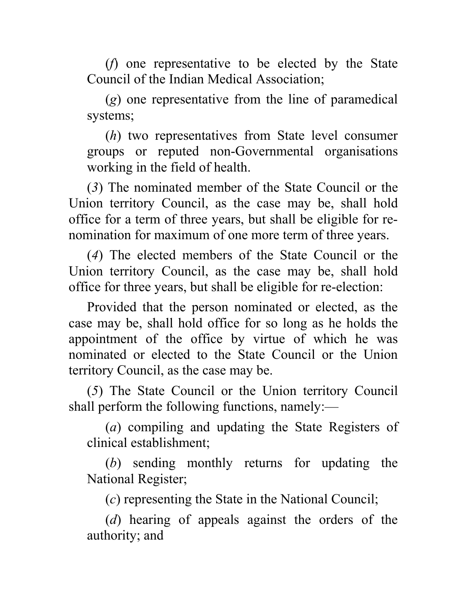(*f*) one representative to be elected by the State Council of the Indian Medical Association;

(*g*) one representative from the line of paramedical systems;

(*h*) two representatives from State level consumer groups or reputed non-Governmental organisations working in the field of health.

(*3*) The nominated member of the State Council or the Union territory Council, as the case may be, shall hold office for a term of three years, but shall be eligible for renomination for maximum of one more term of three years.

(*4*) The elected members of the State Council or the Union territory Council, as the case may be, shall hold office for three years, but shall be eligible for re-election:

Provided that the person nominated or elected, as the case may be, shall hold office for so long as he holds the appointment of the office by virtue of which he was nominated or elected to the State Council or the Union territory Council, as the case may be.

(*5*) The State Council or the Union territory Council shall perform the following functions, namely:—

(*a*) compiling and updating the State Registers of clinical establishment;

(*b*) sending monthly returns for updating the National Register;

(*c*) representing the State in the National Council;

(*d*) hearing of appeals against the orders of the authority; and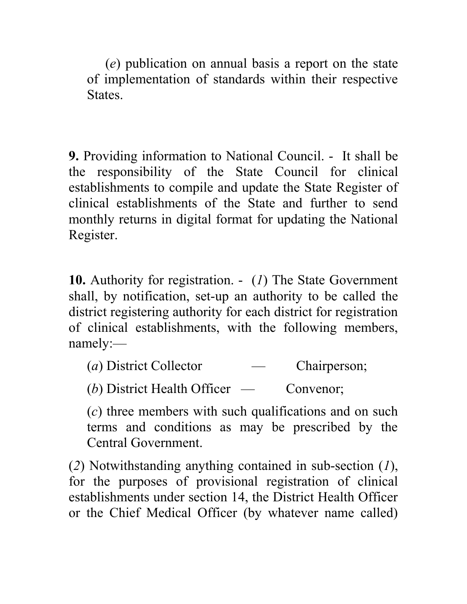(*e*) publication on annual basis a report on the state of implementation of standards within their respective States.

**9.** Providing information to National Council. - It shall be the responsibility of the State Council for clinical establishments to compile and update the State Register of clinical establishments of the State and further to send monthly returns in digital format for updating the National Register.

**10.** Authority for registration. - (*1*) The State Government shall, by notification, set-up an authority to be called the district registering authority for each district for registration of clinical establishments, with the following members, namely:—

(*a*) District Collector — Chairperson;

(*b*) District Health Officer — Convenor;

(*c*) three members with such qualifications and on such terms and conditions as may be prescribed by the Central Government.

(*2*) Notwithstanding anything contained in sub-section (*1*), for the purposes of provisional registration of clinical establishments under section 14, the District Health Officer or the Chief Medical Officer (by whatever name called)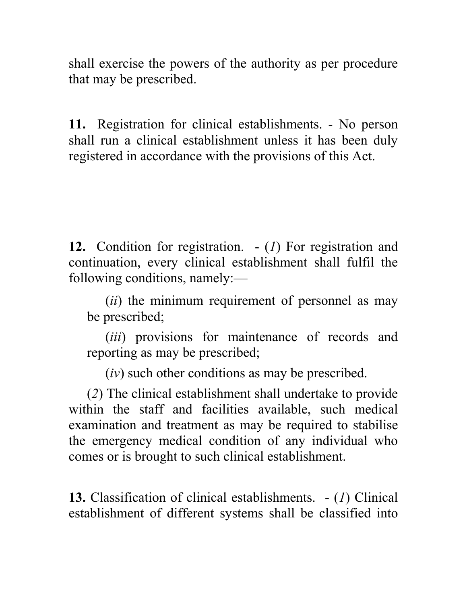shall exercise the powers of the authority as per procedure that may be prescribed.

**11.** Registration for clinical establishments. - No person shall run a clinical establishment unless it has been duly registered in accordance with the provisions of this Act.

**12.** Condition for registration. - (*1*) For registration and continuation, every clinical establishment shall fulfil the following conditions, namely:—

(*ii*) the minimum requirement of personnel as may be prescribed;

(*iii*) provisions for maintenance of records and reporting as may be prescribed;

(*iv*) such other conditions as may be prescribed.

(*2*) The clinical establishment shall undertake to provide within the staff and facilities available, such medical examination and treatment as may be required to stabilise the emergency medical condition of any individual who comes or is brought to such clinical establishment.

**13.** Classification of clinical establishments. - (*1*) Clinical establishment of different systems shall be classified into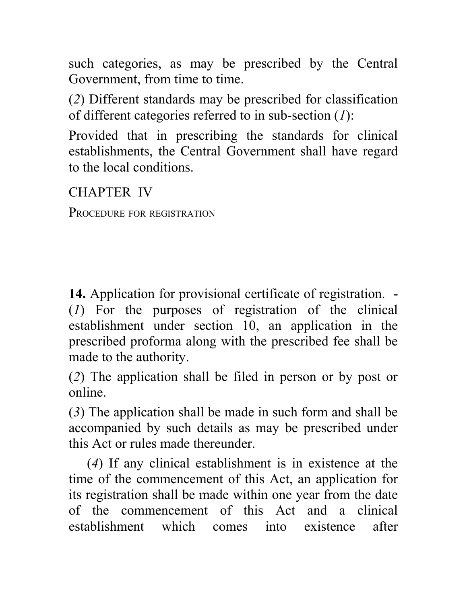such categories, as may be prescribed by the Central Government, from time to time.

(*2*) Different standards may be prescribed for classification of different categories referred to in sub-section (*1*):

Provided that in prescribing the standards for clinical establishments, the Central Government shall have regard to the local conditions.

CHAPTER IV

PROCEDURE FOR REGISTRATION

**14.** Application for provisional certificate of registration. - (*1*) For the purposes of registration of the clinical establishment under section 10, an application in the prescribed proforma along with the prescribed fee shall be made to the authority.

(*2*) The application shall be filed in person or by post or online.

(*3*) The application shall be made in such form and shall be accompanied by such details as may be prescribed under this Act or rules made thereunder.

(*4*) If any clinical establishment is in existence at the time of the commencement of this Act, an application for its registration shall be made within one year from the date of the commencement of this Act and a clinical establishment which comes into existence after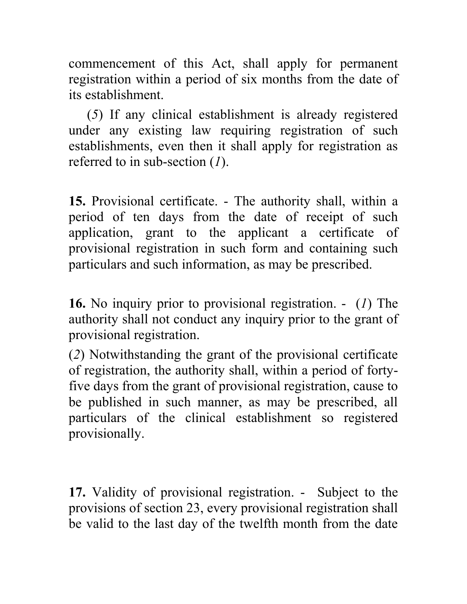commencement of this Act, shall apply for permanent registration within a period of six months from the date of its establishment.

(*5*) If any clinical establishment is already registered under any existing law requiring registration of such establishments, even then it shall apply for registration as referred to in sub-section (*1*).

**15.** Provisional certificate. - The authority shall, within a period of ten days from the date of receipt of such application, grant to the applicant a certificate of provisional registration in such form and containing such particulars and such information, as may be prescribed.

**16.** No inquiry prior to provisional registration. - (*1*) The authority shall not conduct any inquiry prior to the grant of provisional registration.

(*2*) Notwithstanding the grant of the provisional certificate of registration, the authority shall, within a period of fortyfive days from the grant of provisional registration, cause to be published in such manner, as may be prescribed, all particulars of the clinical establishment so registered provisionally.

**17.** Validity of provisional registration. - Subject to the provisions of section 23, every provisional registration shall be valid to the last day of the twelfth month from the date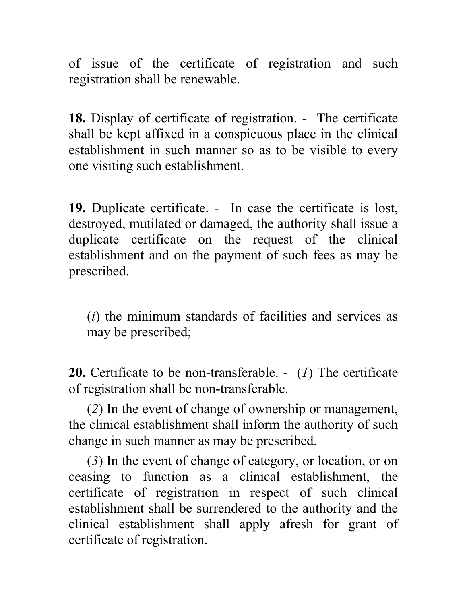of issue of the certificate of registration and such registration shall be renewable.

**18.** Display of certificate of registration. - The certificate shall be kept affixed in a conspicuous place in the clinical establishment in such manner so as to be visible to every one visiting such establishment.

**19.** Duplicate certificate. - In case the certificate is lost, destroyed, mutilated or damaged, the authority shall issue a duplicate certificate on the request of the clinical establishment and on the payment of such fees as may be prescribed.

(*i*) the minimum standards of facilities and services as may be prescribed;

**20.** Certificate to be non-transferable. - (*1*) The certificate of registration shall be non-transferable.

(*2*) In the event of change of ownership or management, the clinical establishment shall inform the authority of such change in such manner as may be prescribed.

(*3*) In the event of change of category, or location, or on ceasing to function as a clinical establishment, the certificate of registration in respect of such clinical establishment shall be surrendered to the authority and the clinical establishment shall apply afresh for grant of certificate of registration.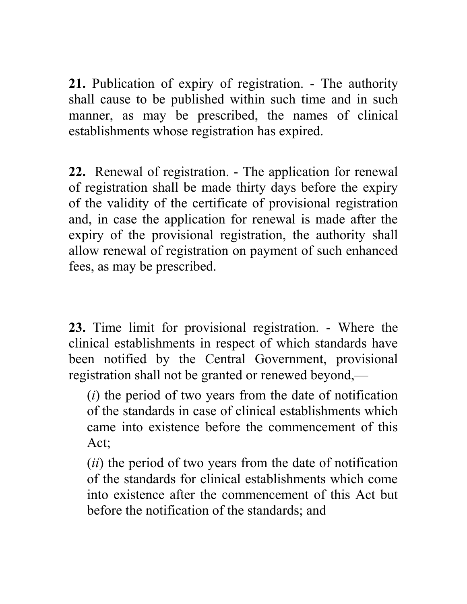**21.** Publication of expiry of registration. - The authority shall cause to be published within such time and in such manner, as may be prescribed, the names of clinical establishments whose registration has expired.

**22.** Renewal of registration. - The application for renewal of registration shall be made thirty days before the expiry of the validity of the certificate of provisional registration and, in case the application for renewal is made after the expiry of the provisional registration, the authority shall allow renewal of registration on payment of such enhanced fees, as may be prescribed.

**23.** Time limit for provisional registration. - Where the clinical establishments in respect of which standards have been notified by the Central Government, provisional registration shall not be granted or renewed beyond,—

(*i*) the period of two years from the date of notification of the standards in case of clinical establishments which came into existence before the commencement of this Act;

(*ii*) the period of two years from the date of notification of the standards for clinical establishments which come into existence after the commencement of this Act but before the notification of the standards; and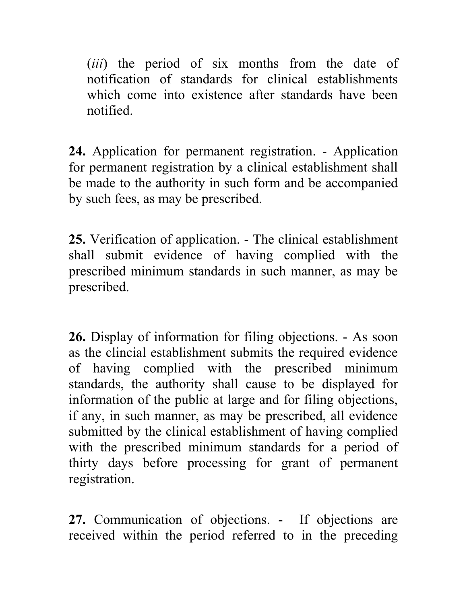(*iii*) the period of six months from the date of notification of standards for clinical establishments which come into existence after standards have been notified.

**24.** Application for permanent registration. - Application for permanent registration by a clinical establishment shall be made to the authority in such form and be accompanied by such fees, as may be prescribed.

**25.** Verification of application. - The clinical establishment shall submit evidence of having complied with the prescribed minimum standards in such manner, as may be prescribed.

**26.** Display of information for filing objections. - As soon as the clincial establishment submits the required evidence of having complied with the prescribed minimum standards, the authority shall cause to be displayed for information of the public at large and for filing objections, if any, in such manner, as may be prescribed, all evidence submitted by the clinical establishment of having complied with the prescribed minimum standards for a period of thirty days before processing for grant of permanent registration.

**27.** Communication of objections. - If objections are received within the period referred to in the preceding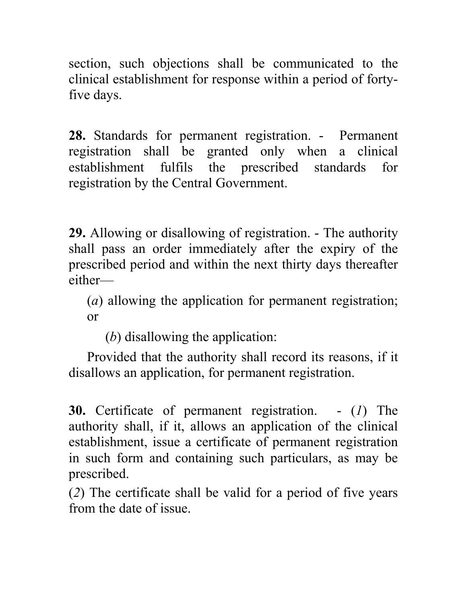section, such objections shall be communicated to the clinical establishment for response within a period of fortyfive days.

**28.** Standards for permanent registration. - Permanent registration shall be granted only when a clinical establishment fulfils the prescribed standards for registration by the Central Government.

**29.** Allowing or disallowing of registration. - The authority shall pass an order immediately after the expiry of the prescribed period and within the next thirty days thereafter either—

(*a*) allowing the application for permanent registration; or

(*b*) disallowing the application:

Provided that the authority shall record its reasons, if it disallows an application, for permanent registration.

**30.** Certificate of permanent registration. - (*1*) The authority shall, if it, allows an application of the clinical establishment, issue a certificate of permanent registration in such form and containing such particulars, as may be prescribed.

(*2*) The certificate shall be valid for a period of five years from the date of issue.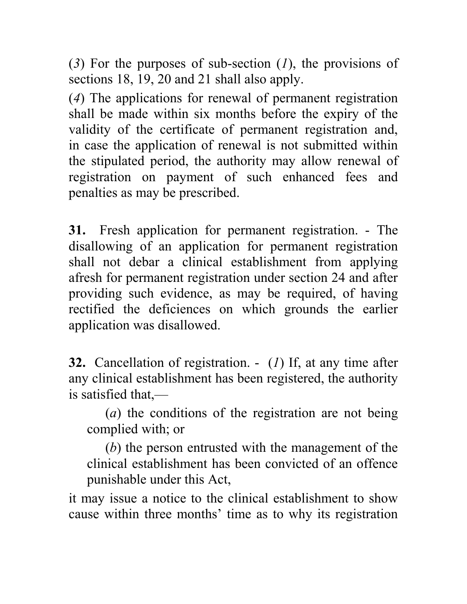(*3*) For the purposes of sub-section (*1*), the provisions of sections 18, 19, 20 and 21 shall also apply.

(*4*) The applications for renewal of permanent registration shall be made within six months before the expiry of the validity of the certificate of permanent registration and, in case the application of renewal is not submitted within the stipulated period, the authority may allow renewal of registration on payment of such enhanced fees and penalties as may be prescribed.

**31.** Fresh application for permanent registration. - The disallowing of an application for permanent registration shall not debar a clinical establishment from applying afresh for permanent registration under section 24 and after providing such evidence, as may be required, of having rectified the deficiences on which grounds the earlier application was disallowed.

**32.** Cancellation of registration. - (*1*) If, at any time after any clinical establishment has been registered, the authority is satisfied that,—

(*a*) the conditions of the registration are not being complied with; or

(*b*) the person entrusted with the management of the clinical establishment has been convicted of an offence punishable under this Act,

it may issue a notice to the clinical establishment to show cause within three months' time as to why its registration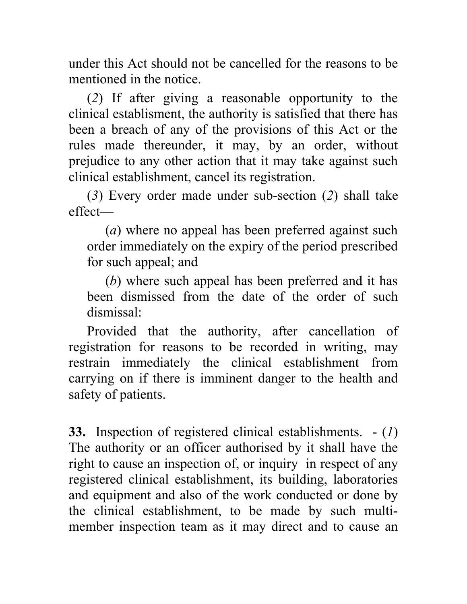under this Act should not be cancelled for the reasons to be mentioned in the notice.

(*2*) If after giving a reasonable opportunity to the clinical establisment, the authority is satisfied that there has been a breach of any of the provisions of this Act or the rules made thereunder, it may, by an order, without prejudice to any other action that it may take against such clinical establishment, cancel its registration.

(*3*) Every order made under sub-section (*2*) shall take effect—

(*a*) where no appeal has been preferred against such order immediately on the expiry of the period prescribed for such appeal; and

(*b*) where such appeal has been preferred and it has been dismissed from the date of the order of such dismissal:

Provided that the authority, after cancellation of registration for reasons to be recorded in writing, may restrain immediately the clinical establishment from carrying on if there is imminent danger to the health and safety of patients.

**33.** Inspection of registered clinical establishments. - (*1*) The authority or an officer authorised by it shall have the right to cause an inspection of, or inquiry in respect of any registered clinical establishment, its building, laboratories and equipment and also of the work conducted or done by the clinical establishment, to be made by such multimember inspection team as it may direct and to cause an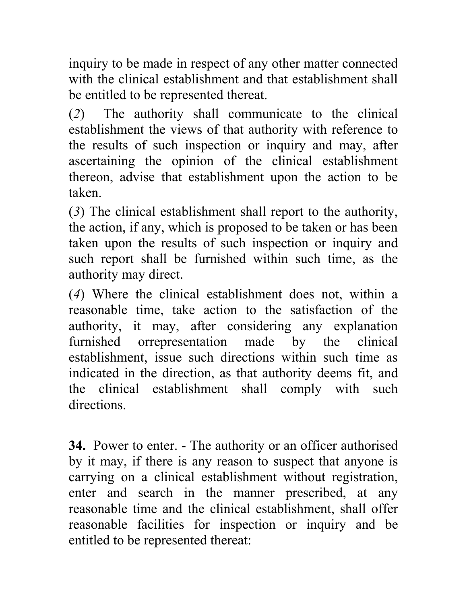inquiry to be made in respect of any other matter connected with the clinical establishment and that establishment shall be entitled to be represented thereat.

(*2*) The authority shall communicate to the clinical establishment the views of that authority with reference to the results of such inspection or inquiry and may, after ascertaining the opinion of the clinical establishment thereon, advise that establishment upon the action to be taken.

(*3*) The clinical establishment shall report to the authority, the action, if any, which is proposed to be taken or has been taken upon the results of such inspection or inquiry and such report shall be furnished within such time, as the authority may direct.

(*4*) Where the clinical establishment does not, within a reasonable time, take action to the satisfaction of the authority, it may, after considering any explanation furnished orrepresentation made by the clinical establishment, issue such directions within such time as indicated in the direction, as that authority deems fit, and the clinical establishment shall comply with such directions.

**34.** Power to enter. - The authority or an officer authorised by it may, if there is any reason to suspect that anyone is carrying on a clinical establishment without registration, enter and search in the manner prescribed, at any reasonable time and the clinical establishment, shall offer reasonable facilities for inspection or inquiry and be entitled to be represented thereat: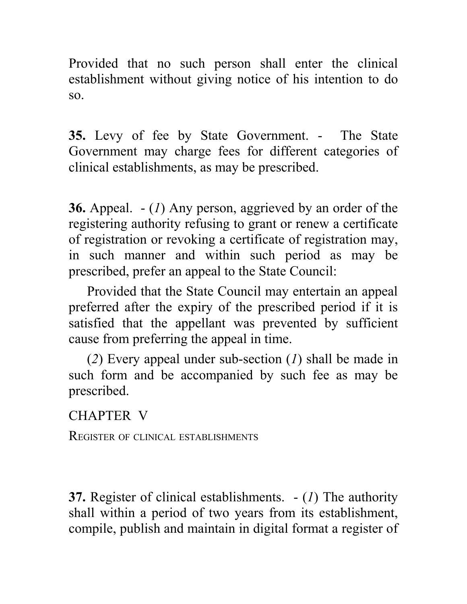Provided that no such person shall enter the clinical establishment without giving notice of his intention to do so.

**35.** Levy of fee by State Government. - The State Government may charge fees for different categories of clinical establishments, as may be prescribed.

**36.** Appeal. - (*1*) Any person, aggrieved by an order of the registering authority refusing to grant or renew a certificate of registration or revoking a certificate of registration may, in such manner and within such period as may be prescribed, prefer an appeal to the State Council:

Provided that the State Council may entertain an appeal preferred after the expiry of the prescribed period if it is satisfied that the appellant was prevented by sufficient cause from preferring the appeal in time.

(*2*) Every appeal under sub-section (*1*) shall be made in such form and be accompanied by such fee as may be prescribed.

## CHAPTER V

REGISTER OF CLINICAL ESTABLISHMENTS

**37.** Register of clinical establishments. - (*1*) The authority shall within a period of two years from its establishment, compile, publish and maintain in digital format a register of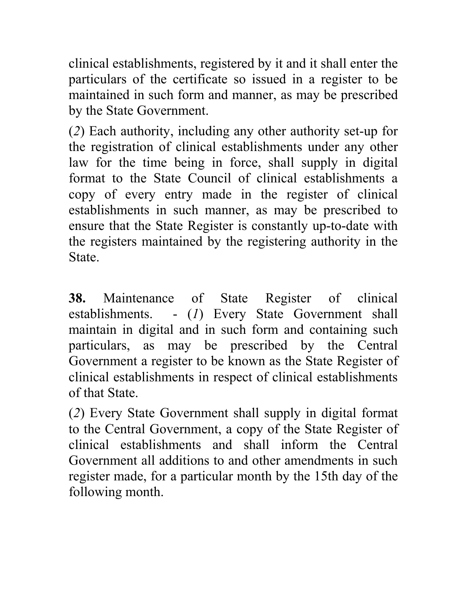clinical establishments, registered by it and it shall enter the particulars of the certificate so issued in a register to be maintained in such form and manner, as may be prescribed by the State Government.

(*2*) Each authority, including any other authority set-up for the registration of clinical establishments under any other law for the time being in force, shall supply in digital format to the State Council of clinical establishments a copy of every entry made in the register of clinical establishments in such manner, as may be prescribed to ensure that the State Register is constantly up-to-date with the registers maintained by the registering authority in the State.

**38.** Maintenance of State Register of clinical establishments. - (*1*) Every State Government shall maintain in digital and in such form and containing such particulars, as may be prescribed by the Central Government a register to be known as the State Register of clinical establishments in respect of clinical establishments of that State.

(*2*) Every State Government shall supply in digital format to the Central Government, a copy of the State Register of clinical establishments and shall inform the Central Government all additions to and other amendments in such register made, for a particular month by the 15th day of the following month.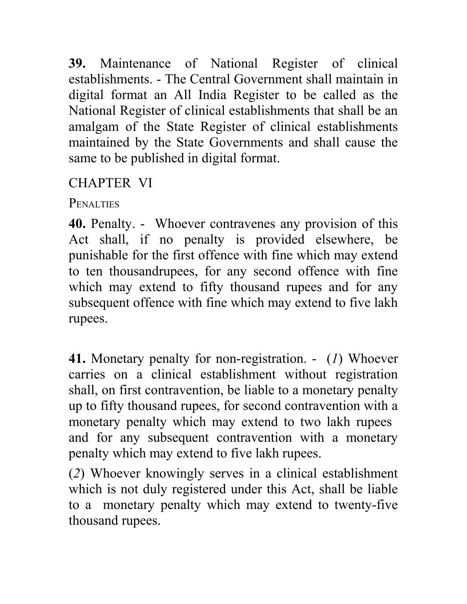**39.** Maintenance of National Register of clinical establishments. - The Central Government shall maintain in digital format an All India Register to be called as the National Register of clinical establishments that shall be an amalgam of the State Register of clinical establishments maintained by the State Governments and shall cause the same to be published in digital format.

# CHAPTER VI

PENALTIES

**40.** Penalty. - Whoever contravenes any provision of this Act shall, if no penalty is provided elsewhere, be punishable for the first offence with fine which may extend to ten thousandrupees, for any second offence with fine which may extend to fifty thousand rupees and for any subsequent offence with fine which may extend to five lakh rupees.

**41.** Monetary penalty for non-registration. - (*1*) Whoever carries on a clinical establishment without registration shall, on first contravention, be liable to a monetary penalty up to fifty thousand rupees, for second contravention with a monetary penalty which may extend to two lakh rupees and for any subsequent contravention with a monetary penalty which may extend to five lakh rupees.

(*2*) Whoever knowingly serves in a clinical establishment which is not duly registered under this Act, shall be liable to a monetary penalty which may extend to twenty-five thousand rupees.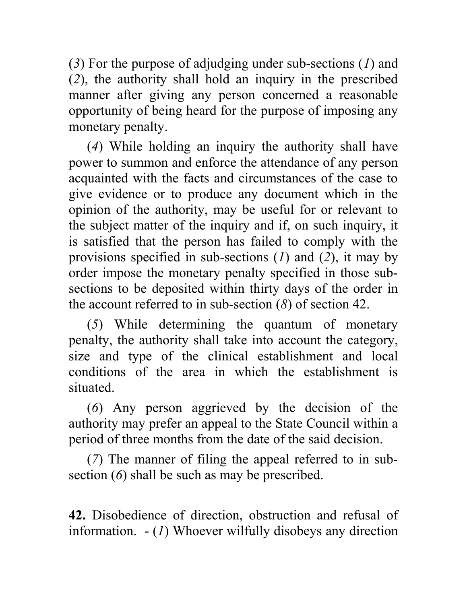(*3*) For the purpose of adjudging under sub-sections (*1*) and (*2*), the authority shall hold an inquiry in the prescribed manner after giving any person concerned a reasonable opportunity of being heard for the purpose of imposing any monetary penalty.

(*4*) While holding an inquiry the authority shall have power to summon and enforce the attendance of any person acquainted with the facts and circumstances of the case to give evidence or to produce any document which in the opinion of the authority, may be useful for or relevant to the subject matter of the inquiry and if, on such inquiry, it is satisfied that the person has failed to comply with the provisions specified in sub-sections (*1*) and (*2*), it may by order impose the monetary penalty specified in those subsections to be deposited within thirty days of the order in the account referred to in sub-section (*8*) of section 42.

(*5*) While determining the quantum of monetary penalty, the authority shall take into account the category, size and type of the clinical establishment and local conditions of the area in which the establishment is situated.

(*6*) Any person aggrieved by the decision of the authority may prefer an appeal to the State Council within a period of three months from the date of the said decision.

(*7*) The manner of filing the appeal referred to in subsection (*6*) shall be such as may be prescribed.

**42.** Disobedience of direction, obstruction and refusal of information. - (*1*) Whoever wilfully disobeys any direction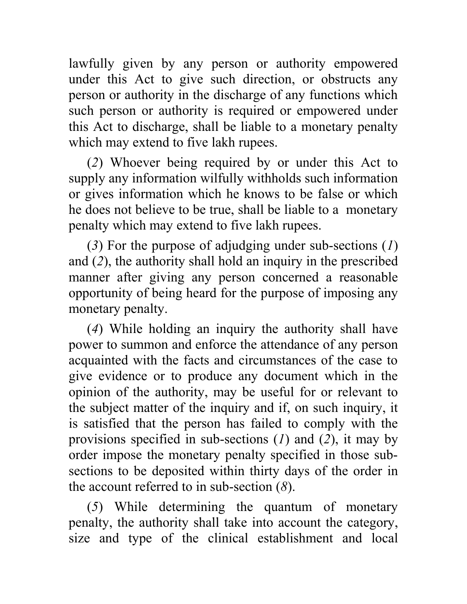lawfully given by any person or authority empowered under this Act to give such direction, or obstructs any person or authority in the discharge of any functions which such person or authority is required or empowered under this Act to discharge, shall be liable to a monetary penalty which may extend to five lakh rupees.

(*2*) Whoever being required by or under this Act to supply any information wilfully withholds such information or gives information which he knows to be false or which he does not believe to be true, shall be liable to a monetary penalty which may extend to five lakh rupees.

(*3*) For the purpose of adjudging under sub-sections (*1*) and (*2*), the authority shall hold an inquiry in the prescribed manner after giving any person concerned a reasonable opportunity of being heard for the purpose of imposing any monetary penalty.

(*4*) While holding an inquiry the authority shall have power to summon and enforce the attendance of any person acquainted with the facts and circumstances of the case to give evidence or to produce any document which in the opinion of the authority, may be useful for or relevant to the subject matter of the inquiry and if, on such inquiry, it is satisfied that the person has failed to comply with the provisions specified in sub-sections (*1*) and (*2*), it may by order impose the monetary penalty specified in those subsections to be deposited within thirty days of the order in the account referred to in sub-section (*8*).

(*5*) While determining the quantum of monetary penalty, the authority shall take into account the category, size and type of the clinical establishment and local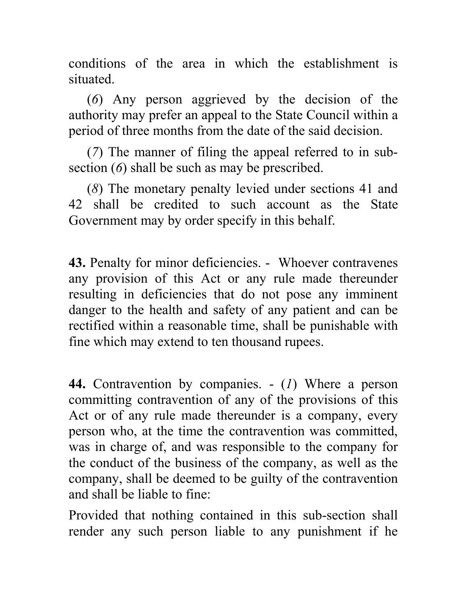conditions of the area in which the establishment is situated.

(*6*) Any person aggrieved by the decision of the authority may prefer an appeal to the State Council within a period of three months from the date of the said decision.

(*7*) The manner of filing the appeal referred to in subsection (*6*) shall be such as may be prescribed.

(*8*) The monetary penalty levied under sections 41 and 42 shall be credited to such account as the State Government may by order specify in this behalf.

**43.** Penalty for minor deficiencies. - Whoever contravenes any provision of this Act or any rule made thereunder resulting in deficiencies that do not pose any imminent danger to the health and safety of any patient and can be rectified within a reasonable time, shall be punishable with fine which may extend to ten thousand rupees.

**44.** Contravention by companies. - (*1*) Where a person committing contravention of any of the provisions of this Act or of any rule made thereunder is a company, every person who, at the time the contravention was committed, was in charge of, and was responsible to the company for the conduct of the business of the company, as well as the company, shall be deemed to be guilty of the contravention and shall be liable to fine:

Provided that nothing contained in this sub-section shall render any such person liable to any punishment if he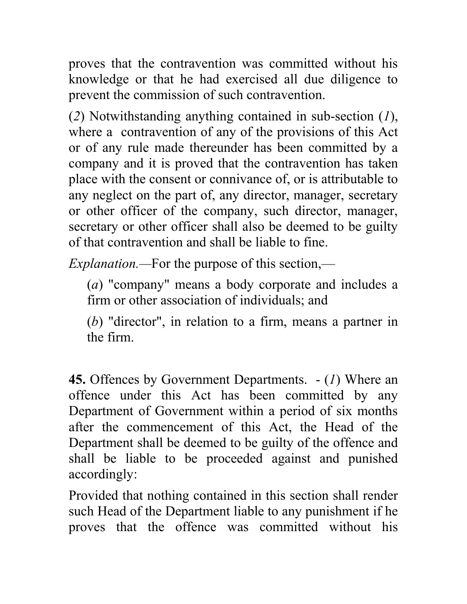proves that the contravention was committed without his knowledge or that he had exercised all due diligence to prevent the commission of such contravention.

(*2*) Notwithstanding anything contained in sub-section (*1*), where a contravention of any of the provisions of this Act or of any rule made thereunder has been committed by a company and it is proved that the contravention has taken place with the consent or connivance of, or is attributable to any neglect on the part of, any director, manager, secretary or other officer of the company, such director, manager, secretary or other officer shall also be deemed to be guilty of that contravention and shall be liable to fine.

*Explanation.—*For the purpose of this section,—

(*a*) "company" means a body corporate and includes a firm or other association of individuals; and

(*b*) "director", in relation to a firm, means a partner in the firm.

**45.** Offences by Government Departments. - (*1*) Where an offence under this Act has been committed by any Department of Government within a period of six months after the commencement of this Act, the Head of the Department shall be deemed to be guilty of the offence and shall be liable to be proceeded against and punished accordingly:

Provided that nothing contained in this section shall render such Head of the Department liable to any punishment if he proves that the offence was committed without his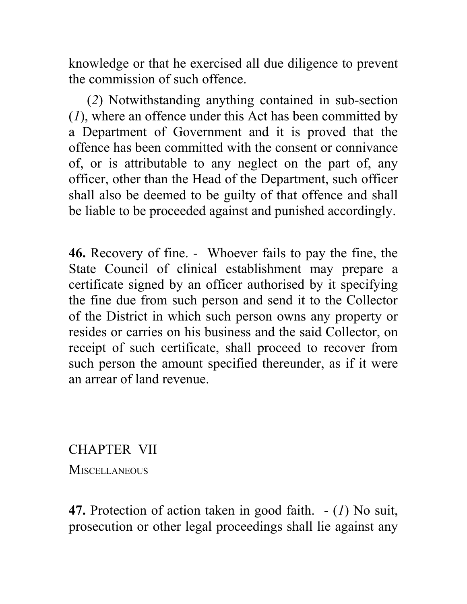knowledge or that he exercised all due diligence to prevent the commission of such offence.

(*2*) Notwithstanding anything contained in sub-section (*1*), where an offence under this Act has been committed by a Department of Government and it is proved that the offence has been committed with the consent or connivance of, or is attributable to any neglect on the part of, any officer, other than the Head of the Department, such officer shall also be deemed to be guilty of that offence and shall be liable to be proceeded against and punished accordingly.

**46.** Recovery of fine. - Whoever fails to pay the fine, the State Council of clinical establishment may prepare a certificate signed by an officer authorised by it specifying the fine due from such person and send it to the Collector of the District in which such person owns any property or resides or carries on his business and the said Collector, on receipt of such certificate, shall proceed to recover from such person the amount specified thereunder, as if it were an arrear of land revenue.

CHAPTER VII

**MISCELLANEOUS** 

**47.** Protection of action taken in good faith. - (*1*) No suit, prosecution or other legal proceedings shall lie against any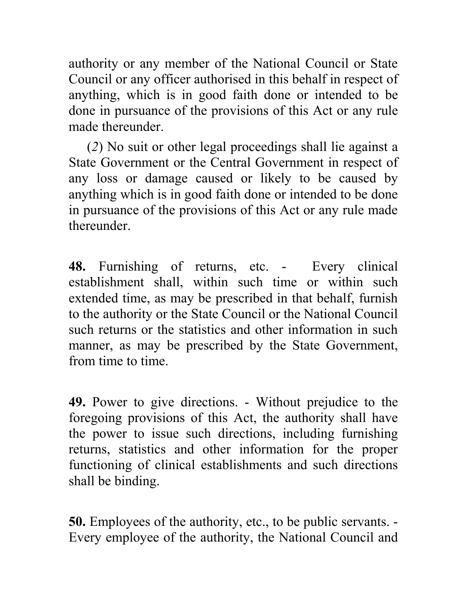authority or any member of the National Council or State Council or any officer authorised in this behalf in respect of anything, which is in good faith done or intended to be done in pursuance of the provisions of this Act or any rule made thereunder.

(*2*) No suit or other legal proceedings shall lie against a State Government or the Central Government in respect of any loss or damage caused or likely to be caused by anything which is in good faith done or intended to be done in pursuance of the provisions of this Act or any rule made thereunder.

**48.** Furnishing of returns, etc. - Every clinical establishment shall, within such time or within such extended time, as may be prescribed in that behalf, furnish to the authority or the State Council or the National Council such returns or the statistics and other information in such manner, as may be prescribed by the State Government, from time to time.

**49.** Power to give directions. - Without prejudice to the foregoing provisions of this Act, the authority shall have the power to issue such directions, including furnishing returns, statistics and other information for the proper functioning of clinical establishments and such directions shall be binding.

**50.** Employees of the authority, etc., to be public servants. - Every employee of the authority, the National Council and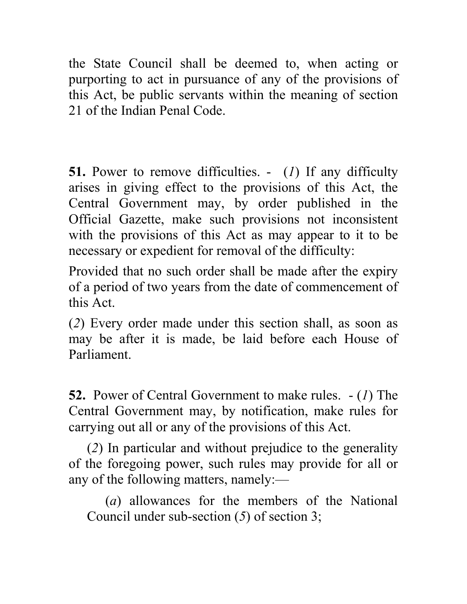the State Council shall be deemed to, when acting or purporting to act in pursuance of any of the provisions of this Act, be public servants within the meaning of section 21 of the Indian Penal Code.

**51.** Power to remove difficulties. - (*1*) If any difficulty arises in giving effect to the provisions of this Act, the Central Government may, by order published in the Official Gazette, make such provisions not inconsistent with the provisions of this Act as may appear to it to be necessary or expedient for removal of the difficulty:

Provided that no such order shall be made after the expiry of a period of two years from the date of commencement of this Act.

(*2*) Every order made under this section shall, as soon as may be after it is made, be laid before each House of Parliament.

**52.** Power of Central Government to make rules. - (*1*) The Central Government may, by notification, make rules for carrying out all or any of the provisions of this Act.

(*2*) In particular and without prejudice to the generality of the foregoing power, such rules may provide for all or any of the following matters, namely:—

(*a*) allowances for the members of the National Council under sub-section (*5*) of section 3;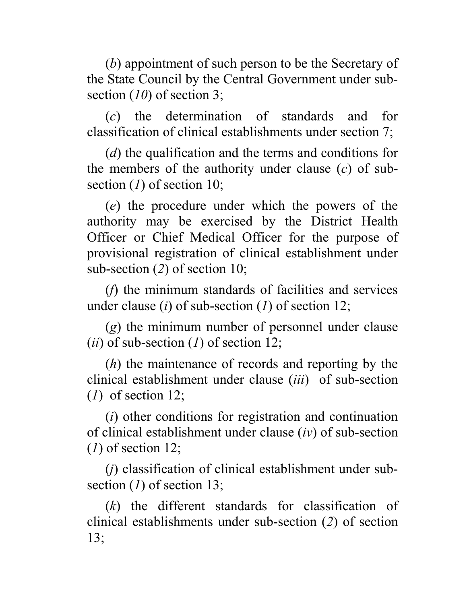(*b*) appointment of such person to be the Secretary of the State Council by the Central Government under subsection (*10*) of section 3;

(*c*) the determination of standards and for classification of clinical establishments under section 7;

(*d*) the qualification and the terms and conditions for the members of the authority under clause (*c*) of subsection (*1*) of section 10;

(*e*) the procedure under which the powers of the authority may be exercised by the District Health Officer or Chief Medical Officer for the purpose of provisional registration of clinical establishment under sub-section (*2*) of section 10;

(*f*) the minimum standards of facilities and services under clause (*i*) of sub-section (*1*) of section 12;

(*g*) the minimum number of personnel under clause (*ii*) of sub-section (*1*) of section 12;

(*h*) the maintenance of records and reporting by the clinical establishment under clause (*iii*) of sub-section (*1*) of section 12;

(*i*) other conditions for registration and continuation of clinical establishment under clause (*iv*) of sub-section (*1*) of section 12;

(*j*) classification of clinical establishment under subsection (*1*) of section 13;

(*k*) the different standards for classification of clinical establishments under sub-section (*2*) of section 13;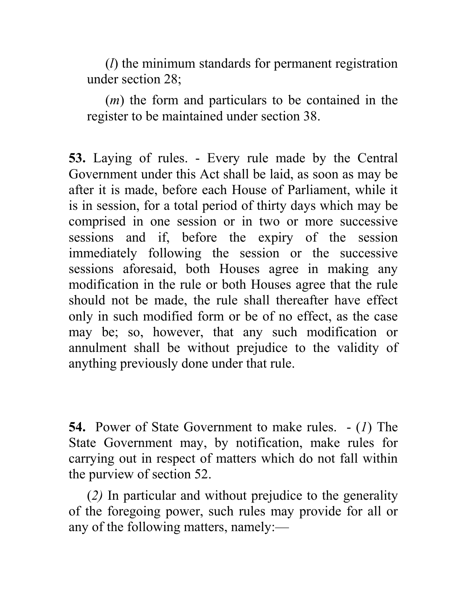(*l*) the minimum standards for permanent registration under section 28;

(*m*) the form and particulars to be contained in the register to be maintained under section 38.

**53.** Laying of rules. - Every rule made by the Central Government under this Act shall be laid, as soon as may be after it is made, before each House of Parliament, while it is in session, for a total period of thirty days which may be comprised in one session or in two or more successive sessions and if, before the expiry of the session immediately following the session or the successive sessions aforesaid, both Houses agree in making any modification in the rule or both Houses agree that the rule should not be made, the rule shall thereafter have effect only in such modified form or be of no effect, as the case may be; so, however, that any such modification or annulment shall be without prejudice to the validity of anything previously done under that rule.

**54.** Power of State Government to make rules. - (*1*) The State Government may, by notification, make rules for carrying out in respect of matters which do not fall within the purview of section 52.

(*2)* In particular and without prejudice to the generality of the foregoing power, such rules may provide for all or any of the following matters, namely:—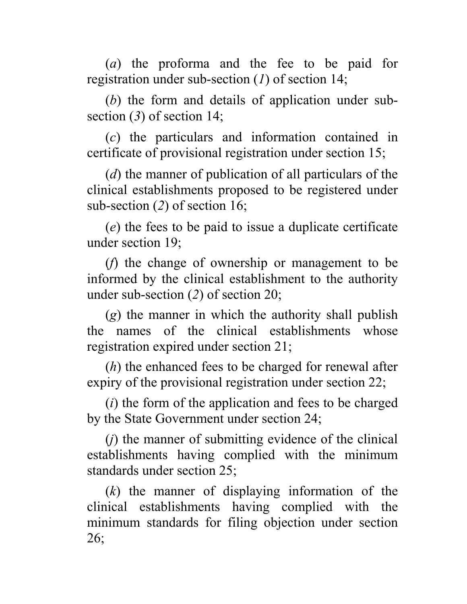(*a*) the proforma and the fee to be paid for registration under sub-section (*1*) of section 14;

(*b*) the form and details of application under subsection (*3*) of section 14;

(*c*) the particulars and information contained in certificate of provisional registration under section 15;

(*d*) the manner of publication of all particulars of the clinical establishments proposed to be registered under sub-section (*2*) of section 16;

(*e*) the fees to be paid to issue a duplicate certificate under section 19;

(*f*) the change of ownership or management to be informed by the clinical establishment to the authority under sub-section (*2*) of section 20;

(*g*) the manner in which the authority shall publish the names of the clinical establishments whose registration expired under section 21;

(*h*) the enhanced fees to be charged for renewal after expiry of the provisional registration under section 22;

(*i*) the form of the application and fees to be charged by the State Government under section 24;

(*j*) the manner of submitting evidence of the clinical establishments having complied with the minimum standards under section 25;

(*k*) the manner of displaying information of the clinical establishments having complied with the minimum standards for filing objection under section 26;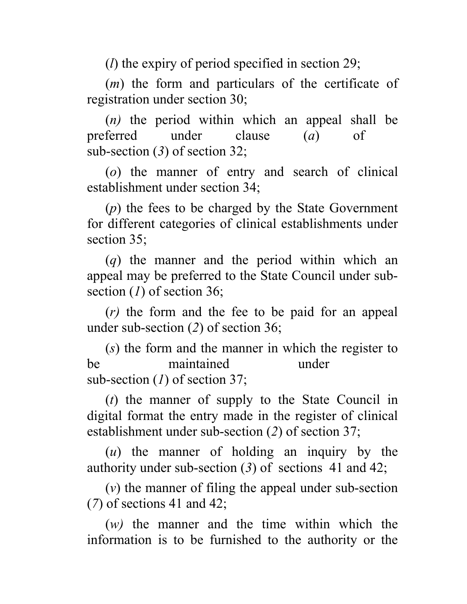(*l*) the expiry of period specified in section 29;

(*m*) the form and particulars of the certificate of registration under section 30;

(*n)* the period within which an appeal shall be preferred under clause (*a*) of sub-section (*3*) of section 32;

(*o*) the manner of entry and search of clinical establishment under section 34;

(*p*) the fees to be charged by the State Government for different categories of clinical establishments under section 35;

(*q*) the manner and the period within which an appeal may be preferred to the State Council under subsection (*1*) of section 36;

(*r)* the form and the fee to be paid for an appeal under sub-section (*2*) of section 36;

(*s*) the form and the manner in which the register to be maintained under sub-section (*1*) of section 37;

(*t*) the manner of supply to the State Council in digital format the entry made in the register of clinical establishment under sub-section (*2*) of section 37;

(*u*) the manner of holding an inquiry by the authority under sub-section (*3*) of sections 41 and 42;

(*v*) the manner of filing the appeal under sub-section (*7*) of sections 41 and 42;

(*w)* the manner and the time within which the information is to be furnished to the authority or the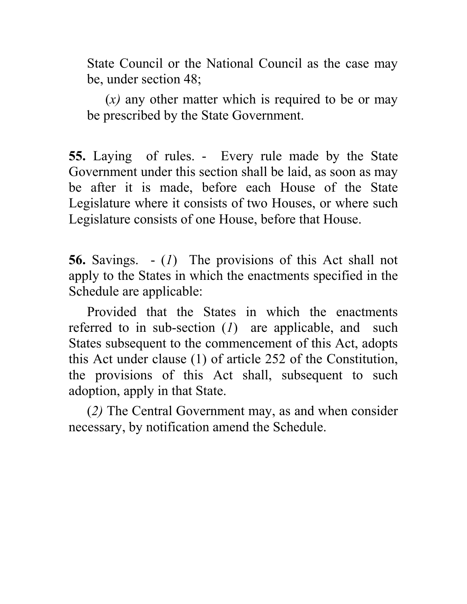State Council or the National Council as the case may be, under section 48;

(*x)* any other matter which is required to be or may be prescribed by the State Government.

**55.** Laying of rules. - Every rule made by the State Government under this section shall be laid, as soon as may be after it is made, before each House of the State Legislature where it consists of two Houses, or where such Legislature consists of one House, before that House.

**56.** Savings. - (*1*) The provisions of this Act shall not apply to the States in which the enactments specified in the Schedule are applicable:

Provided that the States in which the enactments referred to in sub-section (*1*) are applicable, and such States subsequent to the commencement of this Act, adopts this Act under clause (1) of article 252 of the Constitution, the provisions of this Act shall, subsequent to such adoption, apply in that State.

(*2)* The Central Government may, as and when consider necessary, by notification amend the Schedule.